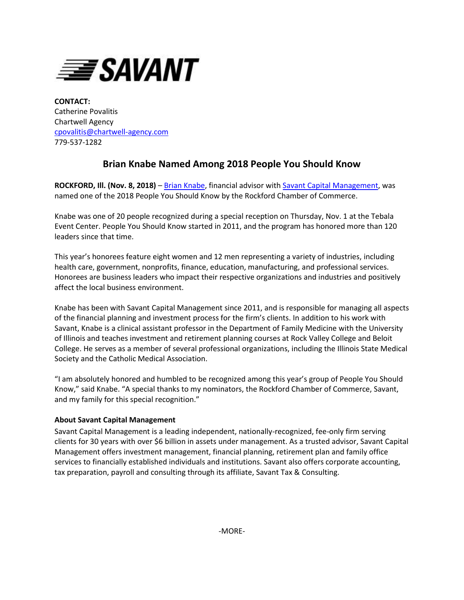

**CONTACT:** Catherine Povalitis Chartwell Agency [cpovalitis@chartwell-agency.com](mailto:cpovalitis@chartwell-agency.com) 779-537-1282

## **Brian Knabe Named Among 2018 People You Should Know**

**ROCKFORD, Ill. (Nov. 8, 2018)** – [Brian Knabe,](https://www.savantcapital.com/team-member/Brian-J.-Knabe) financial advisor with [Savant Capital Management,](http://www.savantcapital.com/) was named one of the 2018 People You Should Know by the Rockford Chamber of Commerce.

Knabe was one of 20 people recognized during a special reception on Thursday, Nov. 1 at the Tebala Event Center. People You Should Know started in 2011, and the program has honored more than 120 leaders since that time.

This year's honorees feature eight women and 12 men representing a variety of industries, including health care, government, nonprofits, finance, education, manufacturing, and professional services. Honorees are business leaders who impact their respective organizations and industries and positively affect the local business environment.

Knabe has been with Savant Capital Management since 2011, and is responsible for managing all aspects of the financial planning and investment process for the firm's clients. In addition to his work with Savant, Knabe is a clinical assistant professor in the Department of Family Medicine with the University of Illinois and teaches investment and retirement planning courses at Rock Valley College and Beloit College. He serves as a member of several professional organizations, including the Illinois State Medical Society and the Catholic Medical Association.

"I am absolutely honored and humbled to be recognized among this year's group of People You Should Know," said Knabe. "A special thanks to my nominators, the Rockford Chamber of Commerce, Savant, and my family for this special recognition."

## **About Savant Capital Management**

Savant Capital Management is a leading independent, nationally-recognized, fee-only firm serving clients for 30 years with over \$6 billion in assets under management. As a trusted advisor, Savant Capital Management offers investment management, financial planning, retirement plan and family office services to financially established individuals and institutions. Savant also offers corporate accounting, tax preparation, payroll and consulting through its affiliate, Savant Tax & Consulting.